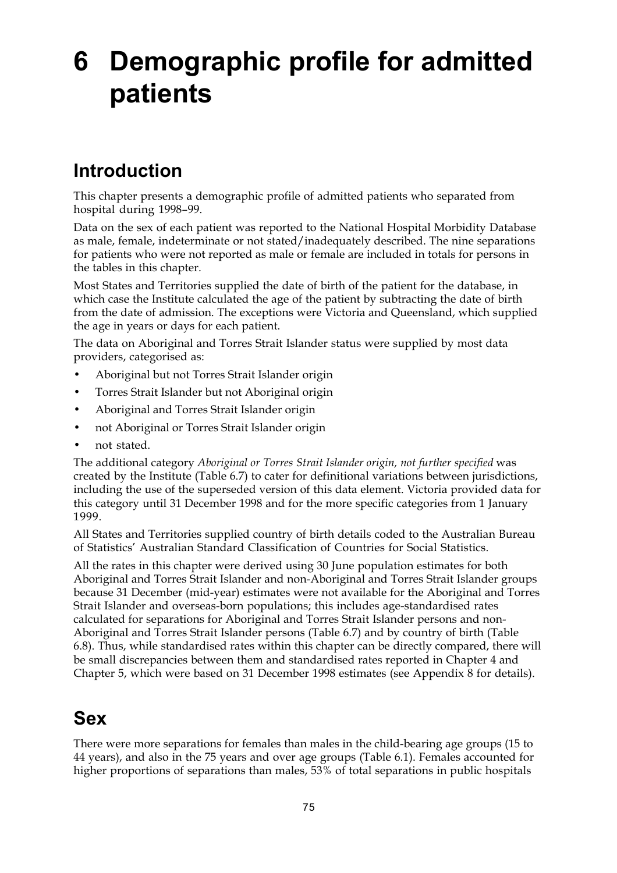# **6 Demographic profile for admitted patients**

## **Introduction**

This chapter presents a demographic profile of admitted patients who separated from hospital during 1998–99.

Data on the sex of each patient was reported to the National Hospital Morbidity Database as male, female, indeterminate or not stated/inadequately described. The nine separations for patients who were not reported as male or female are included in totals for persons in the tables in this chapter.

Most States and Territories supplied the date of birth of the patient for the database, in which case the Institute calculated the age of the patient by subtracting the date of birth from the date of admission. The exceptions were Victoria and Queensland, which supplied the age in years or days for each patient.

The data on Aboriginal and Torres Strait Islander status were supplied by most data providers, categorised as:

- Aboriginal but not Torres Strait Islander origin
- Torres Strait Islander but not Aboriginal origin
- Aboriginal and Torres Strait Islander origin
- not Aboriginal or Torres Strait Islander origin
- not stated.

The additional category *Aboriginal or Torres Strait Islander origin, not further specified* was created by the Institute (Table 6.7) to cater for definitional variations between jurisdictions, including the use of the superseded version of this data element. Victoria provided data for this category until 31 December 1998 and for the more specific categories from 1 January 1999.

All States and Territories supplied country of birth details coded to the Australian Bureau of Statistics' Australian Standard Classification of Countries for Social Statistics.

All the rates in this chapter were derived using 30 June population estimates for both Aboriginal and Torres Strait Islander and non-Aboriginal and Torres Strait Islander groups because 31 December (mid-year) estimates were not available for the Aboriginal and Torres Strait Islander and overseas-born populations; this includes age-standardised rates calculated for separations for Aboriginal and Torres Strait Islander persons and non-Aboriginal and Torres Strait Islander persons (Table 6.7) and by country of birth (Table 6.8). Thus, while standardised rates within this chapter can be directly compared, there will be small discrepancies between them and standardised rates reported in Chapter 4 and Chapter 5, which were based on 31 December 1998 estimates (see Appendix 8 for details).

## **Sex**

There were more separations for females than males in the child-bearing age groups (15 to 44 years), and also in the 75 years and over age groups (Table 6.1). Females accounted for higher proportions of separations than males, 53% of total separations in public hospitals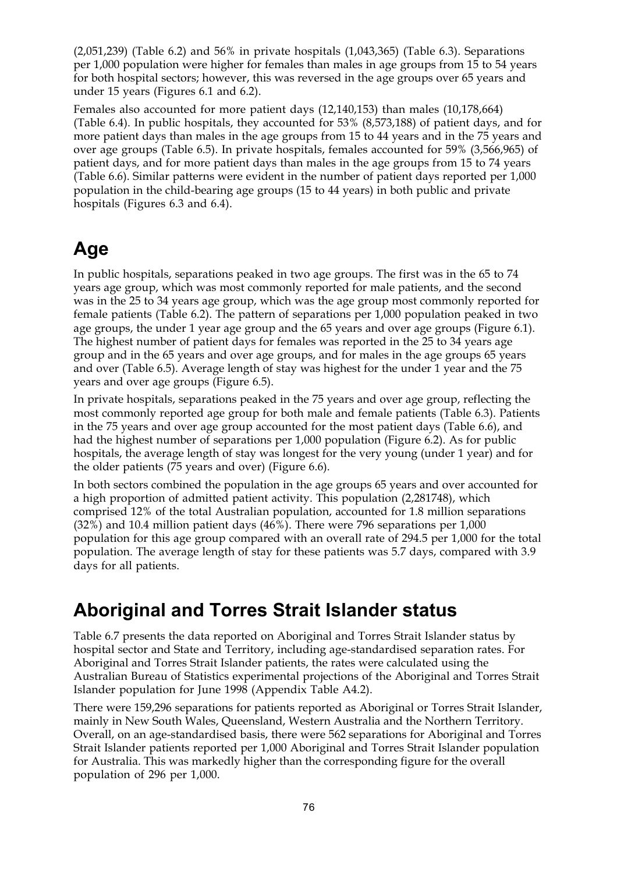(2,051,239) (Table 6.2) and 56% in private hospitals (1,043,365) (Table 6.3). Separations per 1,000 population were higher for females than males in age groups from 15 to 54 years for both hospital sectors; however, this was reversed in the age groups over 65 years and under 15 years (Figures 6.1 and 6.2).

Females also accounted for more patient days (12,140,153) than males (10,178,664) (Table 6.4). In public hospitals, they accounted for 53% (8,573,188) of patient days, and for more patient days than males in the age groups from 15 to 44 years and in the 75 years and over age groups (Table 6.5). In private hospitals, females accounted for 59% (3,566,965) of patient days, and for more patient days than males in the age groups from 15 to 74 years (Table 6.6). Similar patterns were evident in the number of patient days reported per 1,000 population in the child-bearing age groups (15 to 44 years) in both public and private hospitals (Figures 6.3 and 6.4).

### **Age**

In public hospitals, separations peaked in two age groups. The first was in the 65 to 74 years age group, which was most commonly reported for male patients, and the second was in the 25 to 34 years age group, which was the age group most commonly reported for female patients (Table 6.2). The pattern of separations per 1,000 population peaked in two age groups, the under 1 year age group and the 65 years and over age groups (Figure 6.1). The highest number of patient days for females was reported in the 25 to 34 years age group and in the 65 years and over age groups, and for males in the age groups 65 years and over (Table 6.5). Average length of stay was highest for the under 1 year and the 75 years and over age groups (Figure 6.5).

In private hospitals, separations peaked in the 75 years and over age group, reflecting the most commonly reported age group for both male and female patients (Table 6.3). Patients in the 75 years and over age group accounted for the most patient days (Table 6.6), and had the highest number of separations per 1,000 population (Figure 6.2). As for public hospitals, the average length of stay was longest for the very young (under 1 year) and for the older patients (75 years and over) (Figure 6.6).

In both sectors combined the population in the age groups 65 years and over accounted for a high proportion of admitted patient activity. This population (2,281748), which comprised 12% of the total Australian population, accounted for 1.8 million separations (32%) and 10.4 million patient days (46%). There were 796 separations per 1,000 population for this age group compared with an overall rate of 294.5 per 1,000 for the total population. The average length of stay for these patients was 5.7 days, compared with 3.9 days for all patients.

#### **Aboriginal and Torres Strait Islander status**

Table 6.7 presents the data reported on Aboriginal and Torres Strait Islander status by hospital sector and State and Territory, including age-standardised separation rates. For Aboriginal and Torres Strait Islander patients, the rates were calculated using the Australian Bureau of Statistics experimental projections of the Aboriginal and Torres Strait Islander population for June 1998 (Appendix Table A4.2).

There were 159,296 separations for patients reported as Aboriginal or Torres Strait Islander, mainly in New South Wales, Queensland, Western Australia and the Northern Territory. Overall, on an age-standardised basis, there were 562 separations for Aboriginal and Torres Strait Islander patients reported per 1,000 Aboriginal and Torres Strait Islander population for Australia. This was markedly higher than the corresponding figure for the overall population of 296 per 1,000.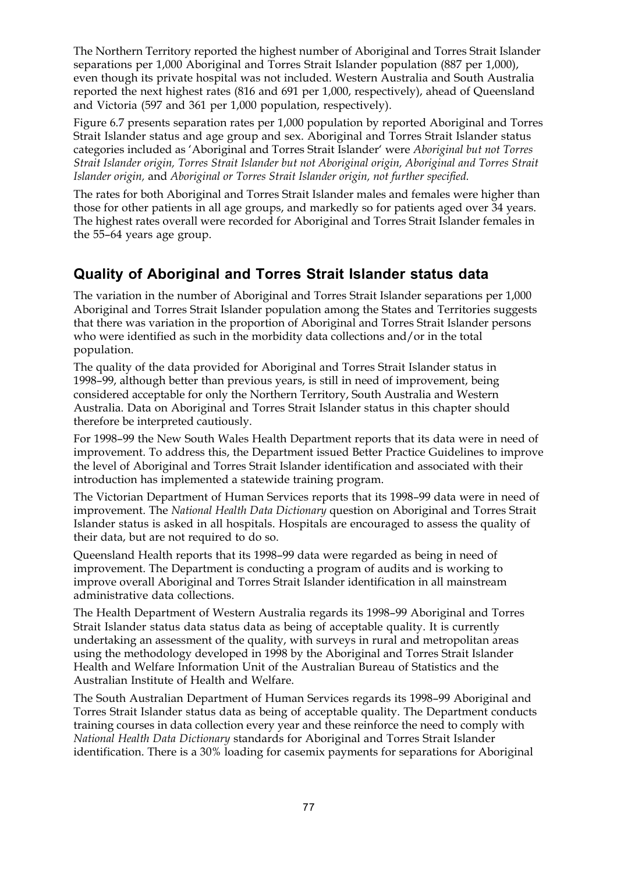The Northern Territory reported the highest number of Aboriginal and Torres Strait Islander separations per 1,000 Aboriginal and Torres Strait Islander population (887 per 1,000), even though its private hospital was not included. Western Australia and South Australia reported the next highest rates (816 and 691 per 1,000, respectively), ahead of Queensland and Victoria (597 and 361 per 1,000 population, respectively).

Figure 6.7 presents separation rates per 1,000 population by reported Aboriginal and Torres Strait Islander status and age group and sex. Aboriginal and Torres Strait Islander status categories included as 'Aboriginal and Torres Strait Islander' were *Aboriginal but not Torres Strait Islander origin, Torres Strait Islander but not Aboriginal origin, Aboriginal and Torres Strait Islander origin,* and *Aboriginal or Torres Strait Islander origin, not further specified.*

The rates for both Aboriginal and Torres Strait Islander males and females were higher than those for other patients in all age groups, and markedly so for patients aged over 34 years. The highest rates overall were recorded for Aboriginal and Torres Strait Islander females in the 55–64 years age group.

#### **Quality of Aboriginal and Torres Strait Islander status data**

The variation in the number of Aboriginal and Torres Strait Islander separations per 1,000 Aboriginal and Torres Strait Islander population among the States and Territories suggests that there was variation in the proportion of Aboriginal and Torres Strait Islander persons who were identified as such in the morbidity data collections and/or in the total population.

The quality of the data provided for Aboriginal and Torres Strait Islander status in 1998–99, although better than previous years, is still in need of improvement, being considered acceptable for only the Northern Territory, South Australia and Western Australia. Data on Aboriginal and Torres Strait Islander status in this chapter should therefore be interpreted cautiously.

For 1998–99 the New South Wales Health Department reports that its data were in need of improvement. To address this, the Department issued Better Practice Guidelines to improve the level of Aboriginal and Torres Strait Islander identification and associated with their introduction has implemented a statewide training program.

The Victorian Department of Human Services reports that its 1998–99 data were in need of improvement. The *National Health Data Dictionary* question on Aboriginal and Torres Strait Islander status is asked in all hospitals. Hospitals are encouraged to assess the quality of their data, but are not required to do so.

Queensland Health reports that its 1998–99 data were regarded as being in need of improvement. The Department is conducting a program of audits and is working to improve overall Aboriginal and Torres Strait Islander identification in all mainstream administrative data collections.

The Health Department of Western Australia regards its 1998–99 Aboriginal and Torres Strait Islander status data status data as being of acceptable quality. It is currently undertaking an assessment of the quality, with surveys in rural and metropolitan areas using the methodology developed in 1998 by the Aboriginal and Torres Strait Islander Health and Welfare Information Unit of the Australian Bureau of Statistics and the Australian Institute of Health and Welfare.

The South Australian Department of Human Services regards its 1998–99 Aboriginal and Torres Strait Islander status data as being of acceptable quality. The Department conducts training courses in data collection every year and these reinforce the need to comply with *National Health Data Dictionary* standards for Aboriginal and Torres Strait Islander identification. There is a 30% loading for casemix payments for separations for Aboriginal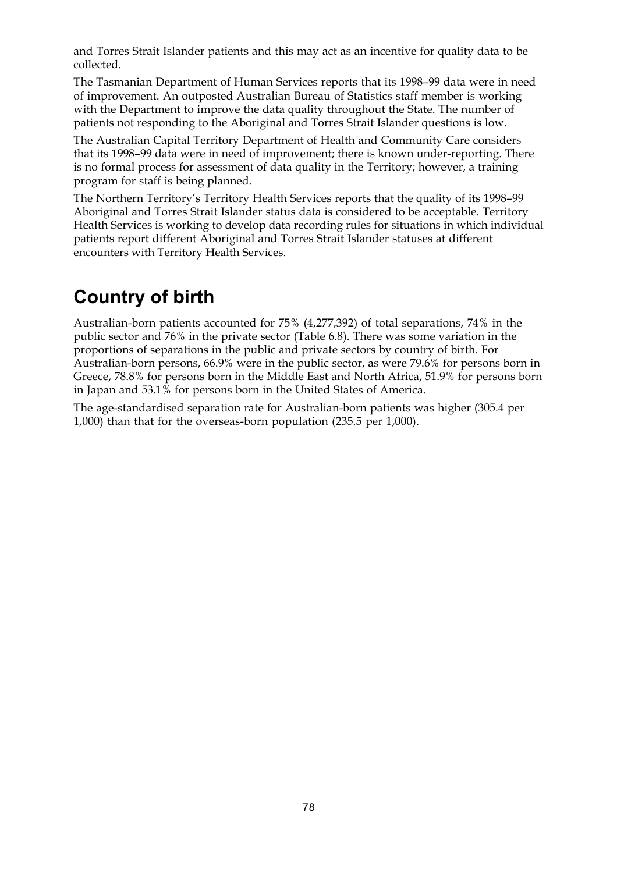and Torres Strait Islander patients and this may act as an incentive for quality data to be collected.

The Tasmanian Department of Human Services reports that its 1998–99 data were in need of improvement. An outposted Australian Bureau of Statistics staff member is working with the Department to improve the data quality throughout the State. The number of patients not responding to the Aboriginal and Torres Strait Islander questions is low.

The Australian Capital Territory Department of Health and Community Care considers that its 1998–99 data were in need of improvement; there is known under-reporting. There is no formal process for assessment of data quality in the Territory; however, a training program for staff is being planned.

The Northern Territory's Territory Health Services reports that the quality of its 1998–99 Aboriginal and Torres Strait Islander status data is considered to be acceptable. Territory Health Services is working to develop data recording rules for situations in which individual patients report different Aboriginal and Torres Strait Islander statuses at different encounters with Territory Health Services.

### **Country of birth**

Australian-born patients accounted for 75% (4,277,392) of total separations, 74% in the public sector and 76% in the private sector (Table 6.8). There was some variation in the proportions of separations in the public and private sectors by country of birth. For Australian-born persons, 66.9% were in the public sector, as were 79.6% for persons born in Greece, 78.8% for persons born in the Middle East and North Africa, 51.9% for persons born in Japan and 53.1% for persons born in the United States of America.

The age-standardised separation rate for Australian-born patients was higher (305.4 per 1,000) than that for the overseas-born population (235.5 per 1,000).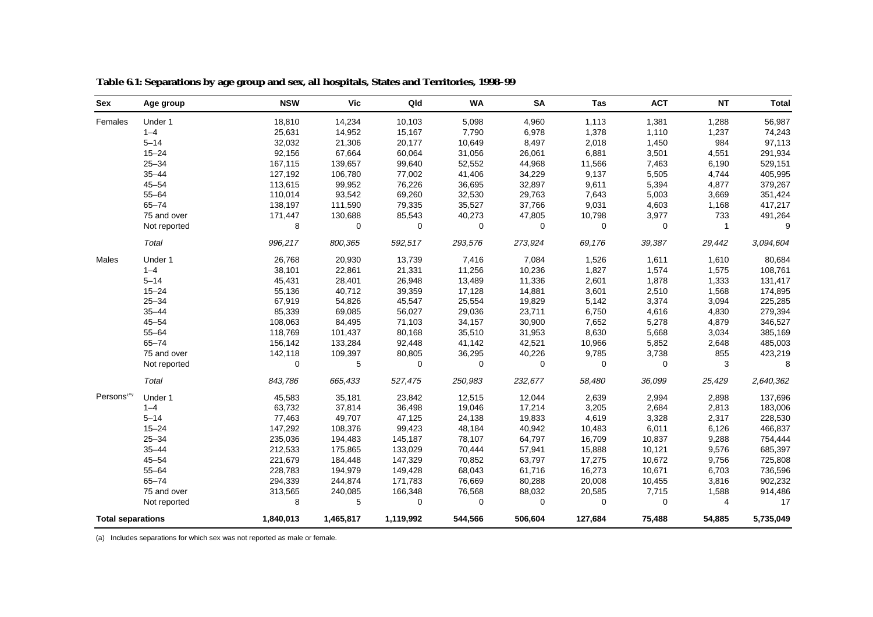| Sex                      | Age group    | <b>NSW</b> | <b>Vic</b>  | Qld       | <b>WA</b>   | <b>SA</b> | Tas         | <b>ACT</b>  | <b>NT</b>      | <b>Total</b> |
|--------------------------|--------------|------------|-------------|-----------|-------------|-----------|-------------|-------------|----------------|--------------|
| Females                  | Under 1      | 18,810     | 14,234      | 10,103    | 5,098       | 4,960     | 1,113       | 1,381       | 1,288          | 56,987       |
|                          | $1 - 4$      | 25,631     | 14,952      | 15,167    | 7,790       | 6,978     | 1,378       | 1,110       | 1,237          | 74,243       |
|                          | $5 - 14$     | 32,032     | 21,306      | 20,177    | 10,649      | 8,497     | 2,018       | 1,450       | 984            | 97,113       |
|                          | $15 - 24$    | 92,156     | 67,664      | 60,064    | 31,056      | 26,061    | 6,881       | 3,501       | 4,551          | 291,934      |
|                          | $25 - 34$    | 167,115    | 139,657     | 99,640    | 52,552      | 44,968    | 11,566      | 7,463       | 6,190          | 529,151      |
|                          | $35 - 44$    | 127,192    | 106,780     | 77,002    | 41,406      | 34,229    | 9,137       | 5,505       | 4,744          | 405,995      |
|                          | $45 - 54$    | 113,615    | 99,952      | 76,226    | 36,695      | 32,897    | 9,611       | 5,394       | 4,877          | 379,267      |
|                          | $55 - 64$    | 110,014    | 93,542      | 69,260    | 32,530      | 29,763    | 7,643       | 5,003       | 3,669          | 351,424      |
|                          | $65 - 74$    | 138,197    | 111,590     | 79,335    | 35,527      | 37,766    | 9,031       | 4,603       | 1,168          | 417,217      |
|                          | 75 and over  | 171,447    | 130,688     | 85,543    | 40,273      | 47,805    | 10,798      | 3,977       | 733            | 491,264      |
|                          | Not reported | 8          | $\mathbf 0$ | 0         | $\mathbf 0$ | 0         | $\mathbf 0$ | $\mathbf 0$ | $\mathbf{1}$   | 9            |
|                          | Total        | 996,217    | 800,365     | 592,517   | 293,576     | 273,924   | 69,176      | 39,387      | 29,442         | 3,094,604    |
| Males                    | Under 1      | 26,768     | 20,930      | 13,739    | 7,416       | 7,084     | 1,526       | 1,611       | 1,610          | 80,684       |
|                          | $1 - 4$      | 38,101     | 22,861      | 21,331    | 11,256      | 10,236    | 1,827       | 1,574       | 1,575          | 108,761      |
|                          | $5 - 14$     | 45,431     | 28,401      | 26,948    | 13,489      | 11,336    | 2,601       | 1,878       | 1,333          | 131,417      |
|                          | $15 - 24$    | 55,136     | 40,712      | 39,359    | 17,128      | 14,881    | 3,601       | 2,510       | 1,568          | 174,895      |
|                          | $25 - 34$    | 67,919     | 54,826      | 45,547    | 25,554      | 19,829    | 5,142       | 3,374       | 3,094          | 225,285      |
|                          | $35 - 44$    | 85,339     | 69,085      | 56,027    | 29,036      | 23,711    | 6,750       | 4,616       | 4,830          | 279,394      |
|                          | $45 - 54$    | 108,063    | 84,495      | 71,103    | 34,157      | 30,900    | 7,652       | 5,278       | 4,879          | 346,527      |
|                          | $55 - 64$    | 118,769    | 101,437     | 80,168    | 35,510      | 31,953    | 8,630       | 5,668       | 3,034          | 385,169      |
|                          | $65 - 74$    | 156,142    | 133,284     | 92,448    | 41,142      | 42,521    | 10,966      | 5,852       | 2,648          | 485,003      |
|                          | 75 and over  | 142,118    | 109,397     | 80,805    | 36,295      | 40,226    | 9,785       | 3,738       | 855            | 423,219      |
|                          | Not reported | 0          | 5           | 0         | 0           | 0         | 0           | 0           | 3              | 8            |
|                          | Total        | 843,786    | 665,433     | 527,475   | 250,983     | 232,677   | 58,480      | 36,099      | 25,429         | 2,640,362    |
| Persons <sup>(a)</sup>   | Under 1      | 45,583     | 35,181      | 23,842    | 12,515      | 12,044    | 2,639       | 2,994       | 2,898          | 137,696      |
|                          | $1 - 4$      | 63,732     | 37,814      | 36,498    | 19,046      | 17,214    | 3,205       | 2,684       | 2,813          | 183,006      |
|                          | $5 - 14$     | 77,463     | 49,707      | 47,125    | 24,138      | 19,833    | 4,619       | 3,328       | 2,317          | 228,530      |
|                          | $15 - 24$    | 147,292    | 108,376     | 99,423    | 48,184      | 40,942    | 10,483      | 6,011       | 6,126          | 466,837      |
|                          | $25 - 34$    | 235,036    | 194,483     | 145,187   | 78,107      | 64,797    | 16,709      | 10,837      | 9,288          | 754,444      |
|                          | $35 - 44$    | 212,533    | 175,865     | 133,029   | 70,444      | 57,941    | 15,888      | 10,121      | 9,576          | 685,397      |
|                          | $45 - 54$    | 221,679    | 184,448     | 147,329   | 70,852      | 63,797    | 17,275      | 10,672      | 9,756          | 725,808      |
|                          | $55 - 64$    | 228,783    | 194,979     | 149,428   | 68,043      | 61,716    | 16,273      | 10,671      | 6,703          | 736,596      |
|                          | $65 - 74$    | 294,339    | 244,874     | 171,783   | 76,669      | 80,288    | 20,008      | 10,455      | 3,816          | 902,232      |
|                          | 75 and over  | 313,565    | 240,085     | 166,348   | 76,568      | 88,032    | 20,585      | 7,715       | 1,588          | 914,486      |
|                          | Not reported | 8          | 5           | 0         | $\mathbf 0$ | 0         | $\mathbf 0$ | 0           | $\overline{4}$ | 17           |
| <b>Total separations</b> |              | 1,840,013  | 1,465,817   | 1,119,992 | 544,566     | 506,604   | 127,684     | 75,488      | 54,885         | 5,735,049    |

**Table 6.1: Separations by age group and sex, all hospitals, States and Territories, 1998–99**

(a) Includes separations for which sex was not reported as male or female.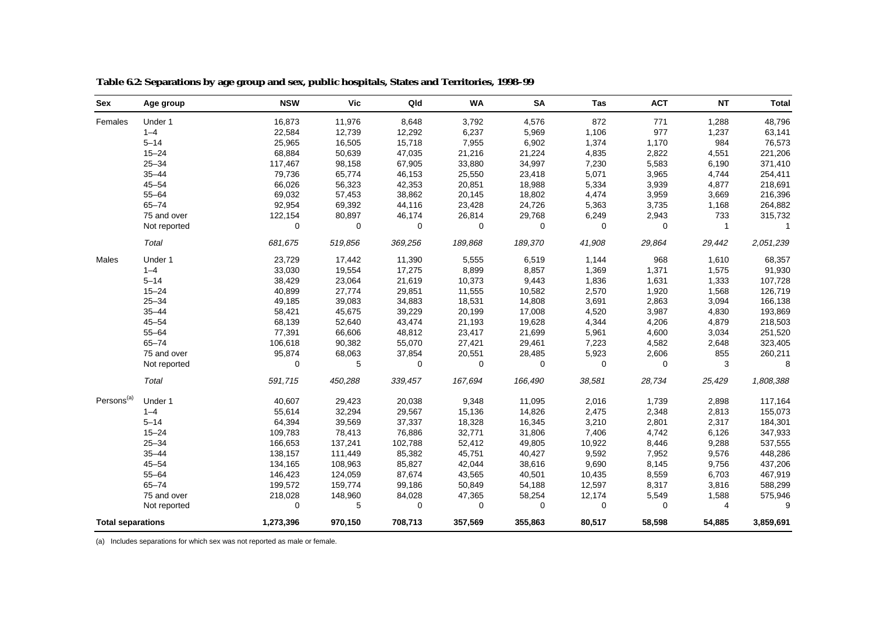| Sex                      | Age group    | <b>NSW</b> | <b>Vic</b>  | Qld     | <b>WA</b>   | <b>SA</b> | Tas         | <b>ACT</b>  | <b>NT</b>      | <b>Total</b> |
|--------------------------|--------------|------------|-------------|---------|-------------|-----------|-------------|-------------|----------------|--------------|
| Females                  | Under 1      | 16,873     | 11,976      | 8,648   | 3,792       | 4,576     | 872         | 771         | 1,288          | 48,796       |
|                          | $1 - 4$      | 22,584     | 12,739      | 12,292  | 6,237       | 5,969     | 1,106       | 977         | 1,237          | 63,141       |
|                          | $5 - 14$     | 25,965     | 16,505      | 15,718  | 7,955       | 6,902     | 1,374       | 1,170       | 984            | 76,573       |
|                          | $15 - 24$    | 68,884     | 50,639      | 47,035  | 21,216      | 21,224    | 4,835       | 2,822       | 4,551          | 221,206      |
|                          | $25 - 34$    | 117,467    | 98,158      | 67,905  | 33,880      | 34,997    | 7,230       | 5,583       | 6,190          | 371,410      |
|                          | $35 - 44$    | 79,736     | 65,774      | 46,153  | 25,550      | 23,418    | 5,071       | 3,965       | 4,744          | 254,411      |
|                          | $45 - 54$    | 66,026     | 56,323      | 42,353  | 20,851      | 18,988    | 5,334       | 3,939       | 4,877          | 218,691      |
|                          | $55 - 64$    | 69,032     | 57,453      | 38,862  | 20,145      | 18,802    | 4,474       | 3,959       | 3,669          | 216,396      |
|                          | $65 - 74$    | 92,954     | 69,392      | 44,116  | 23,428      | 24,726    | 5,363       | 3,735       | 1,168          | 264,882      |
|                          | 75 and over  | 122,154    | 80,897      | 46,174  | 26,814      | 29,768    | 6,249       | 2,943       | 733            | 315,732      |
|                          | Not reported | 0          | $\mathbf 0$ | 0       | 0           | 0         | 0           | 0           | $\mathbf{1}$   | -1           |
|                          | Total        | 681,675    | 519,856     | 369,256 | 189,868     | 189,370   | 41,908      | 29,864      | 29,442         | 2,051,239    |
| Males                    | Under 1      | 23,729     | 17,442      | 11,390  | 5,555       | 6,519     | 1,144       | 968         | 1,610          | 68,357       |
|                          | $1 - 4$      | 33,030     | 19,554      | 17,275  | 8,899       | 8,857     | 1,369       | 1,371       | 1,575          | 91,930       |
|                          | $5 - 14$     | 38,429     | 23,064      | 21,619  | 10,373      | 9,443     | 1,836       | 1,631       | 1,333          | 107,728      |
|                          | $15 - 24$    | 40,899     | 27,774      | 29,851  | 11,555      | 10,582    | 2,570       | 1,920       | 1,568          | 126,719      |
|                          | $25 - 34$    | 49,185     | 39,083      | 34,883  | 18,531      | 14,808    | 3,691       | 2,863       | 3,094          | 166,138      |
|                          | $35 - 44$    | 58,421     | 45,675      | 39,229  | 20,199      | 17,008    | 4,520       | 3,987       | 4,830          | 193,869      |
|                          | $45 - 54$    | 68,139     | 52,640      | 43,474  | 21,193      | 19,628    | 4,344       | 4,206       | 4,879          | 218,503      |
|                          | $55 - 64$    | 77,391     | 66,606      | 48,812  | 23,417      | 21,699    | 5,961       | 4,600       | 3,034          | 251,520      |
|                          | $65 - 74$    | 106,618    | 90,382      | 55,070  | 27,421      | 29,461    | 7,223       | 4,582       | 2,648          | 323,405      |
|                          | 75 and over  | 95,874     | 68,063      | 37,854  | 20,551      | 28,485    | 5,923       | 2,606       | 855            | 260,211      |
|                          | Not reported | 0          | 5           | 0       | $\mathbf 0$ | 0         | $\mathbf 0$ | 0           | 3              | 8            |
|                          | Total        | 591,715    | 450,288     | 339,457 | 167,694     | 166,490   | 38,581      | 28,734      | 25,429         | 1,808,388    |
| Persons <sup>(a)</sup>   | Under 1      | 40,607     | 29,423      | 20,038  | 9,348       | 11,095    | 2,016       | 1,739       | 2,898          | 117,164      |
|                          | $1 - 4$      | 55,614     | 32,294      | 29,567  | 15,136      | 14,826    | 2,475       | 2,348       | 2,813          | 155,073      |
|                          | $5 - 14$     | 64,394     | 39,569      | 37,337  | 18,328      | 16,345    | 3,210       | 2,801       | 2,317          | 184,301      |
|                          | $15 - 24$    | 109,783    | 78,413      | 76,886  | 32,771      | 31,806    | 7,406       | 4,742       | 6,126          | 347,933      |
|                          | $25 - 34$    | 166,653    | 137,241     | 102,788 | 52,412      | 49,805    | 10,922      | 8,446       | 9,288          | 537,555      |
|                          | $35 - 44$    | 138,157    | 111,449     | 85,382  | 45,751      | 40,427    | 9,592       | 7,952       | 9,576          | 448,286      |
|                          | $45 - 54$    | 134,165    | 108,963     | 85,827  | 42,044      | 38,616    | 9,690       | 8,145       | 9,756          | 437,206      |
|                          | $55 - 64$    | 146,423    | 124,059     | 87,674  | 43,565      | 40,501    | 10,435      | 8,559       | 6,703          | 467,919      |
|                          | $65 - 74$    | 199,572    | 159,774     | 99,186  | 50,849      | 54,188    | 12,597      | 8,317       | 3,816          | 588,299      |
|                          | 75 and over  | 218,028    | 148,960     | 84,028  | 47,365      | 58,254    | 12,174      | 5,549       | 1,588          | 575,946      |
|                          | Not reported | $\Omega$   | 5           | 0       | 0           | 0         | $\mathbf 0$ | $\mathbf 0$ | $\overline{4}$ | 9            |
| <b>Total separations</b> |              | 1,273,396  | 970,150     | 708,713 | 357,569     | 355,863   | 80,517      | 58,598      | 54,885         | 3,859,691    |

**Table 6.2: Separations by age group and sex, public hospitals, States and Territories, 1998–99**

(a) Includes separations for which sex was not reported as male or female.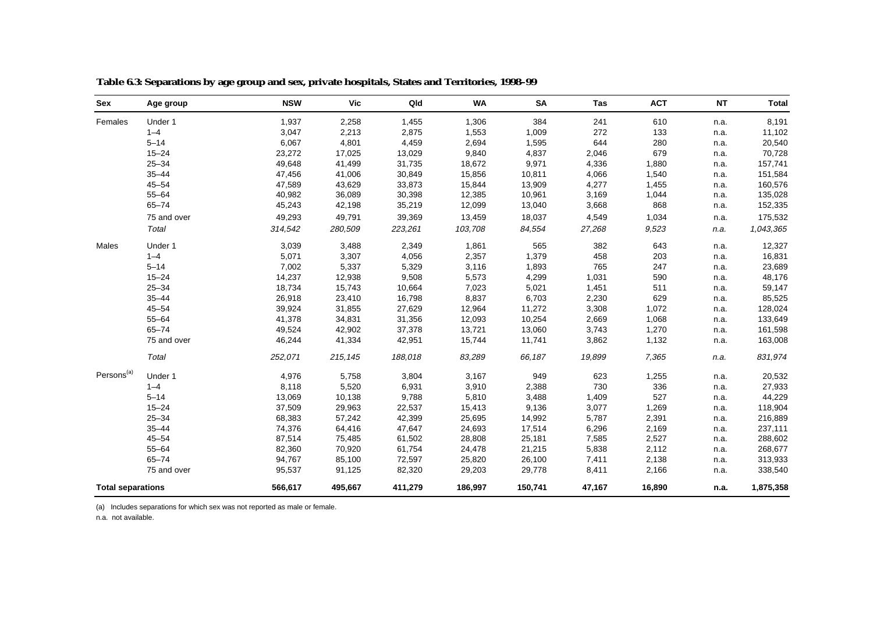| Sex                    | Age group                | <b>NSW</b> | <b>Vic</b> | Qld     | <b>WA</b> | <b>SA</b> | Tas    | <b>ACT</b> | <b>NT</b> | <b>Total</b> |
|------------------------|--------------------------|------------|------------|---------|-----------|-----------|--------|------------|-----------|--------------|
| Females                | Under 1                  | 1,937      | 2,258      | 1,455   | 1,306     | 384       | 241    | 610        | n.a.      | 8,191        |
|                        | $1 - 4$                  | 3,047      | 2,213      | 2,875   | 1,553     | 1,009     | 272    | 133        | n.a.      | 11,102       |
|                        | $5 - 14$                 | 6,067      | 4,801      | 4,459   | 2,694     | 1,595     | 644    | 280        | n.a.      | 20,540       |
|                        | $15 - 24$                | 23,272     | 17,025     | 13,029  | 9,840     | 4,837     | 2,046  | 679        | n.a.      | 70,728       |
|                        | $25 - 34$                | 49,648     | 41,499     | 31,735  | 18,672    | 9,971     | 4,336  | 1,880      | n.a.      | 157,741      |
|                        | $35 - 44$                | 47,456     | 41,006     | 30,849  | 15,856    | 10,811    | 4,066  | 1,540      | n.a.      | 151,584      |
|                        | $45 - 54$                | 47,589     | 43,629     | 33,873  | 15,844    | 13,909    | 4,277  | 1,455      | n.a.      | 160,576      |
|                        | $55 - 64$                | 40,982     | 36,089     | 30,398  | 12,385    | 10,961    | 3,169  | 1,044      | n.a.      | 135,028      |
|                        | $65 - 74$                | 45,243     | 42,198     | 35,219  | 12,099    | 13,040    | 3,668  | 868        | n.a.      | 152,335      |
|                        | 75 and over              | 49,293     | 49,791     | 39,369  | 13,459    | 18,037    | 4,549  | 1,034      | n.a.      | 175,532      |
|                        | Total                    | 314,542    | 280,509    | 223,261 | 103,708   | 84,554    | 27,268 | 9,523      | n.a.      | 1,043,365    |
| Males                  | Under 1                  | 3,039      | 3,488      | 2,349   | 1,861     | 565       | 382    | 643        | n.a.      | 12,327       |
|                        | $1 - 4$                  | 5,071      | 3,307      | 4,056   | 2,357     | 1,379     | 458    | 203        | n.a.      | 16,831       |
|                        | $5 - 14$                 | 7,002      | 5,337      | 5,329   | 3,116     | 1,893     | 765    | 247        | n.a.      | 23,689       |
|                        | $15 - 24$                | 14,237     | 12,938     | 9,508   | 5,573     | 4,299     | 1,031  | 590        | n.a.      | 48,176       |
|                        | $25 - 34$                | 18,734     | 15,743     | 10,664  | 7,023     | 5,021     | 1,451  | 511        | n.a.      | 59,147       |
|                        | $35 - 44$                | 26,918     | 23,410     | 16,798  | 8,837     | 6,703     | 2,230  | 629        | n.a.      | 85,525       |
|                        | $45 - 54$                | 39,924     | 31,855     | 27,629  | 12,964    | 11,272    | 3,308  | 1,072      | n.a.      | 128,024      |
|                        | $55 - 64$                | 41,378     | 34,831     | 31,356  | 12,093    | 10,254    | 2,669  | 1,068      | n.a.      | 133,649      |
|                        | $65 - 74$                | 49,524     | 42,902     | 37,378  | 13,721    | 13,060    | 3,743  | 1,270      | n.a.      | 161,598      |
|                        | 75 and over              | 46,244     | 41,334     | 42,951  | 15,744    | 11,741    | 3,862  | 1,132      | n.a.      | 163,008      |
|                        | Total                    | 252,071    | 215,145    | 188,018 | 83,289    | 66,187    | 19,899 | 7,365      | n.a.      | 831,974      |
| Persons <sup>(a)</sup> | Under 1                  | 4,976      | 5,758      | 3,804   | 3,167     | 949       | 623    | 1,255      | n.a.      | 20,532       |
|                        | $1 - 4$                  | 8,118      | 5,520      | 6,931   | 3,910     | 2,388     | 730    | 336        | n.a.      | 27,933       |
|                        | $5 - 14$                 | 13,069     | 10,138     | 9,788   | 5,810     | 3,488     | 1,409  | 527        | n.a.      | 44,229       |
|                        | $15 - 24$                | 37,509     | 29,963     | 22,537  | 15,413    | 9,136     | 3,077  | 1,269      | n.a.      | 118,904      |
|                        | $25 - 34$                | 68,383     | 57,242     | 42,399  | 25,695    | 14,992    | 5,787  | 2,391      | n.a.      | 216,889      |
|                        | $35 - 44$                | 74,376     | 64,416     | 47,647  | 24,693    | 17,514    | 6,296  | 2,169      | n.a.      | 237,111      |
|                        | $45 - 54$                | 87,514     | 75,485     | 61,502  | 28,808    | 25,181    | 7,585  | 2,527      | n.a.      | 288,602      |
|                        | $55 - 64$                | 82,360     | 70,920     | 61,754  | 24,478    | 21,215    | 5,838  | 2,112      | n.a.      | 268,677      |
|                        | $65 - 74$                | 94,767     | 85,100     | 72,597  | 25,820    | 26,100    | 7,411  | 2,138      | n.a.      | 313,933      |
|                        | 75 and over              | 95,537     | 91,125     | 82,320  | 29,203    | 29,778    | 8,411  | 2,166      | n.a.      | 338,540      |
|                        | <b>Total separations</b> |            | 495,667    | 411,279 | 186,997   | 150,741   | 47,167 | 16,890     | n.a.      | 1,875,358    |

**Table 6.3: Separations by age group and sex, private hospitals, States and Territories, 1998–99**

(a) Includes separations for which sex was not reported as male or female.

n.a. not available.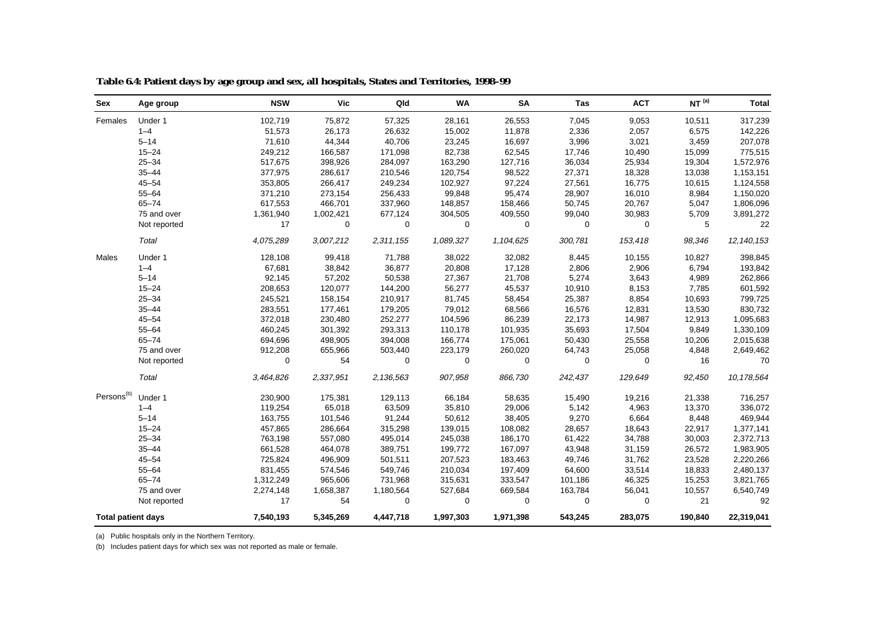| <b>Sex</b>                | Age group    | <b>NSW</b> | <b>Vic</b>       | Qld         | <b>WA</b>   | <b>SA</b> | Tas         | <b>ACT</b>  | NT <sup>(a)</sup> | <b>Total</b> |
|---------------------------|--------------|------------|------------------|-------------|-------------|-----------|-------------|-------------|-------------------|--------------|
| Females                   | Under 1      | 102,719    | 75,872           | 57,325      | 28,161      | 26,553    | 7,045       | 9,053       | 10,511            | 317,239      |
|                           | $1 - 4$      | 51,573     | 26,173           | 26,632      | 15,002      | 11,878    | 2,336       | 2,057       | 6,575             | 142,226      |
|                           | $5 - 14$     | 71,610     | 44,344           | 40,706      | 23,245      | 16,697    | 3,996       | 3,021       | 3,459             | 207,078      |
|                           | $15 - 24$    | 249,212    | 166,587          | 171,098     | 82,738      | 62,545    | 17,746      | 10,490      | 15,099            | 775,515      |
|                           | $25 - 34$    | 517,675    | 398,926          | 284,097     | 163,290     | 127,716   | 36,034      | 25,934      | 19,304            | 1,572,976    |
|                           | $35 - 44$    | 377,975    | 286,617          | 210,546     | 120,754     | 98,522    | 27,371      | 18,328      | 13,038            | 1,153,151    |
|                           | $45 - 54$    | 353,805    | 266,417          | 249,234     | 102,927     | 97,224    | 27,561      | 16,775      | 10,615            | 1,124,558    |
|                           | $55 - 64$    | 371,210    | 273,154          | 256,433     | 99,848      | 95,474    | 28,907      | 16,010      | 8,984             | 1,150,020    |
|                           | $65 - 74$    | 617,553    | 466,701          | 337,960     | 148,857     | 158,466   | 50,745      | 20,767      | 5,047             | 1,806,096    |
|                           | 75 and over  | 1,361,940  | 1,002,421        | 677,124     | 304,505     | 409,550   | 99,040      | 30,983      | 5,709             | 3,891,272    |
|                           | Not reported | 17         | $\boldsymbol{0}$ | $\mathbf 0$ | $\mathbf 0$ | 0         | $\mathbf 0$ | $\mathbf 0$ | 5                 | 22           |
|                           | Total        | 4,075,289  | 3,007,212        | 2,311,155   | 1,089,327   | 1,104,625 | 300,781     | 153,418     | 98,346            | 12, 140, 153 |
| Males                     | Under 1      | 128,108    | 99,418           | 71,788      | 38,022      | 32,082    | 8,445       | 10,155      | 10,827            | 398,845      |
|                           | $1 - 4$      | 67,681     | 38,842           | 36,877      | 20,808      | 17,128    | 2,806       | 2,906       | 6,794             | 193,842      |
|                           | $5 - 14$     | 92,145     | 57,202           | 50,538      | 27,367      | 21,708    | 5,274       | 3,643       | 4,989             | 262,866      |
|                           | $15 - 24$    | 208,653    | 120,077          | 144,200     | 56,277      | 45,537    | 10,910      | 8,153       | 7,785             | 601,592      |
|                           | $25 - 34$    | 245,521    | 158,154          | 210,917     | 81,745      | 58,454    | 25,387      | 8,854       | 10,693            | 799,725      |
|                           | $35 - 44$    | 283,551    | 177,461          | 179,205     | 79,012      | 68,566    | 16,576      | 12,831      | 13,530            | 830,732      |
|                           | $45 - 54$    | 372,018    | 230,480          | 252,277     | 104,596     | 86,239    | 22,173      | 14,987      | 12,913            | 1,095,683    |
|                           | $55 - 64$    | 460,245    | 301,392          | 293,313     | 110,178     | 101,935   | 35,693      | 17,504      | 9,849             | 1,330,109    |
|                           | $65 - 74$    | 694,696    | 498,905          | 394,008     | 166,774     | 175,061   | 50,430      | 25,558      | 10,206            | 2,015,638    |
|                           | 75 and over  | 912,208    | 655,966          | 503,440     | 223,179     | 260,020   | 64,743      | 25,058      | 4,848             | 2,649,462    |
|                           | Not reported | 0          | 54               | $\mathbf 0$ | 0           | 0         | $\mathbf 0$ | 0           | 16                | 70           |
|                           | Total        | 3,464,826  | 2,337,951        | 2,136,563   | 907,958     | 866,730   | 242,437     | 129,649     | 92,450            | 10,178,564   |
| Persons <sup>(b)</sup>    | Under 1      | 230,900    | 175,381          | 129,113     | 66,184      | 58,635    | 15,490      | 19,216      | 21,338            | 716,257      |
|                           | $1 - 4$      | 119,254    | 65,018           | 63,509      | 35,810      | 29,006    | 5,142       | 4,963       | 13,370            | 336,072      |
|                           | $5 - 14$     | 163,755    | 101,546          | 91,244      | 50,612      | 38,405    | 9,270       | 6,664       | 8,448             | 469,944      |
|                           | $15 - 24$    | 457,865    | 286,664          | 315,298     | 139,015     | 108,082   | 28,657      | 18,643      | 22,917            | 1,377,141    |
|                           | $25 - 34$    | 763,198    | 557,080          | 495,014     | 245,038     | 186,170   | 61,422      | 34,788      | 30,003            | 2,372,713    |
|                           | $35 - 44$    | 661,528    | 464,078          | 389,751     | 199,772     | 167,097   | 43,948      | 31,159      | 26,572            | 1,983,905    |
|                           | $45 - 54$    | 725,824    | 496,909          | 501,511     | 207,523     | 183,463   | 49,746      | 31,762      | 23,528            | 2,220,266    |
|                           | $55 - 64$    | 831,455    | 574,546          | 549,746     | 210,034     | 197,409   | 64,600      | 33,514      | 18,833            | 2,480,137    |
|                           | $65 - 74$    | 1,312,249  | 965,606          | 731,968     | 315,631     | 333,547   | 101,186     | 46,325      | 15,253            | 3,821,765    |
|                           | 75 and over  | 2,274,148  | 1,658,387        | 1,180,564   | 527,684     | 669,584   | 163,784     | 56,041      | 10,557            | 6,540,749    |
|                           | Not reported | 17         | 54               | $\mathbf 0$ | $\mathbf 0$ | 0         | 0           | $\mathbf 0$ | 21                | 92           |
| <b>Total patient days</b> |              | 7,540,193  | 5,345,269        | 4,447,718   | 1,997,303   | 1,971,398 | 543,245     | 283,075     | 190,840           | 22,319,041   |

**Table 6.4: Patient days by age group and sex, all hospitals, States and Territories, 1998–99**

(a) Public hospitals only in the Northern Territory.

(b) Includes patient days for which sex was not reported as male or female.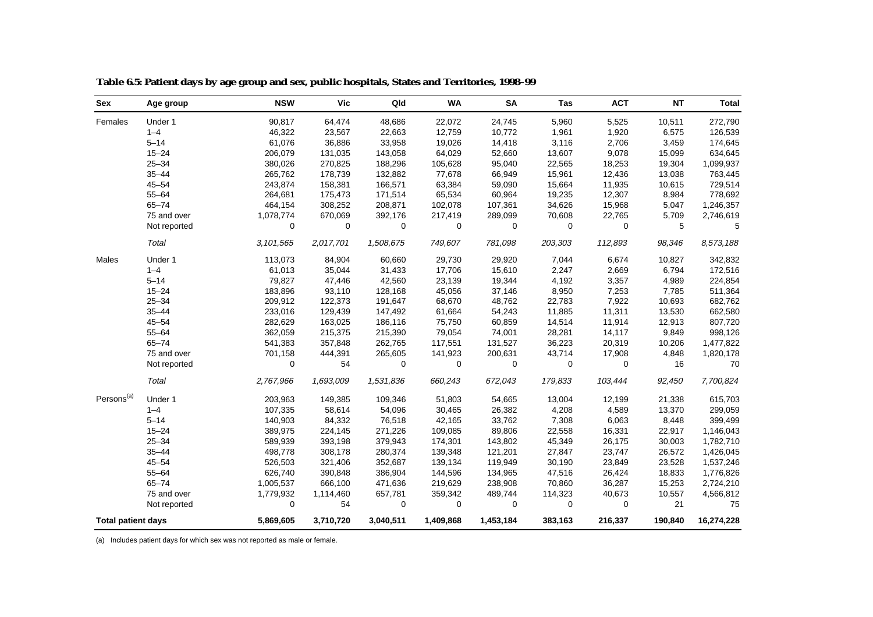| Sex                       | Age group    | <b>NSW</b> | <b>Vic</b>  | Qld         | <b>WA</b> | <b>SA</b>   | Tas         | <b>ACT</b>  | <b>NT</b> | <b>Total</b> |
|---------------------------|--------------|------------|-------------|-------------|-----------|-------------|-------------|-------------|-----------|--------------|
| Females                   | Under 1      | 90,817     | 64,474      | 48,686      | 22,072    | 24,745      | 5,960       | 5,525       | 10,511    | 272,790      |
|                           | $1 - 4$      | 46,322     | 23,567      | 22,663      | 12,759    | 10,772      | 1,961       | 1,920       | 6,575     | 126,539      |
|                           | $5 - 14$     | 61,076     | 36,886      | 33,958      | 19,026    | 14,418      | 3,116       | 2,706       | 3,459     | 174,645      |
|                           | $15 - 24$    | 206,079    | 131,035     | 143,058     | 64,029    | 52,660      | 13,607      | 9,078       | 15,099    | 634,645      |
|                           | $25 - 34$    | 380,026    | 270,825     | 188,296     | 105,628   | 95,040      | 22,565      | 18,253      | 19,304    | 1,099,937    |
|                           | $35 - 44$    | 265,762    | 178,739     | 132,882     | 77,678    | 66,949      | 15,961      | 12,436      | 13,038    | 763,445      |
|                           | $45 - 54$    | 243,874    | 158,381     | 166,571     | 63,384    | 59,090      | 15,664      | 11,935      | 10,615    | 729,514      |
|                           | $55 - 64$    | 264,681    | 175,473     | 171,514     | 65,534    | 60,964      | 19,235      | 12,307      | 8,984     | 778,692      |
|                           | $65 - 74$    | 464,154    | 308,252     | 208,871     | 102,078   | 107,361     | 34,626      | 15,968      | 5,047     | 1,246,357    |
|                           | 75 and over  | 1,078,774  | 670,069     | 392,176     | 217,419   | 289,099     | 70,608      | 22,765      | 5,709     | 2,746,619    |
|                           | Not reported | 0          | $\mathbf 0$ | $\mathbf 0$ | 0         | $\mathbf 0$ | $\mathbf 0$ | $\mathbf 0$ | 5         | 5            |
|                           | Total        | 3,101,565  | 2,017,701   | 1,508,675   | 749,607   | 781,098     | 203,303     | 112,893     | 98,346    | 8,573,188    |
| Males                     | Under 1      | 113,073    | 84,904      | 60,660      | 29,730    | 29,920      | 7,044       | 6,674       | 10,827    | 342,832      |
|                           | $1 - 4$      | 61,013     | 35,044      | 31,433      | 17,706    | 15,610      | 2,247       | 2,669       | 6,794     | 172,516      |
|                           | $5 - 14$     | 79,827     | 47,446      | 42,560      | 23,139    | 19,344      | 4,192       | 3,357       | 4,989     | 224,854      |
|                           | $15 - 24$    | 183,896    | 93,110      | 128,168     | 45,056    | 37,146      | 8,950       | 7,253       | 7,785     | 511,364      |
|                           | $25 - 34$    | 209,912    | 122,373     | 191,647     | 68,670    | 48,762      | 22,783      | 7,922       | 10,693    | 682,762      |
|                           | $35 - 44$    | 233,016    | 129,439     | 147,492     | 61,664    | 54,243      | 11,885      | 11,311      | 13,530    | 662,580      |
|                           | $45 - 54$    | 282,629    | 163,025     | 186,116     | 75,750    | 60,859      | 14,514      | 11,914      | 12,913    | 807,720      |
|                           | $55 - 64$    | 362,059    | 215,375     | 215,390     | 79,054    | 74,001      | 28,281      | 14,117      | 9,849     | 998,126      |
|                           | $65 - 74$    | 541,383    | 357,848     | 262,765     | 117,551   | 131,527     | 36,223      | 20,319      | 10,206    | 1,477,822    |
|                           | 75 and over  | 701,158    | 444,391     | 265,605     | 141,923   | 200,631     | 43,714      | 17,908      | 4,848     | 1,820,178    |
|                           | Not reported | 0          | 54          | 0           | 0         | 0           | $\mathbf 0$ | 0           | 16        | 70           |
|                           | Total        | 2,767,966  | 1,693,009   | 1,531,836   | 660,243   | 672,043     | 179,833     | 103,444     | 92,450    | 7,700,824    |
| Persons <sup>(a)</sup>    | Under 1      | 203,963    | 149,385     | 109,346     | 51,803    | 54,665      | 13,004      | 12,199      | 21,338    | 615,703      |
|                           | $1 - 4$      | 107,335    | 58,614      | 54,096      | 30,465    | 26,382      | 4,208       | 4,589       | 13,370    | 299,059      |
|                           | $5 - 14$     | 140,903    | 84,332      | 76,518      | 42,165    | 33,762      | 7,308       | 6,063       | 8,448     | 399,499      |
|                           | $15 - 24$    | 389,975    | 224,145     | 271,226     | 109,085   | 89,806      | 22,558      | 16,331      | 22,917    | 1,146,043    |
|                           | $25 - 34$    | 589,939    | 393,198     | 379,943     | 174,301   | 143,802     | 45,349      | 26,175      | 30,003    | 1,782,710    |
|                           | $35 - 44$    | 498,778    | 308,178     | 280,374     | 139,348   | 121,201     | 27,847      | 23,747      | 26,572    | 1,426,045    |
|                           | $45 - 54$    | 526,503    | 321,406     | 352,687     | 139,134   | 119,949     | 30,190      | 23,849      | 23,528    | 1,537,246    |
|                           | $55 - 64$    | 626,740    | 390,848     | 386,904     | 144,596   | 134,965     | 47,516      | 26,424      | 18,833    | 1,776,826    |
|                           | $65 - 74$    | 1,005,537  | 666,100     | 471,636     | 219,629   | 238,908     | 70,860      | 36,287      | 15,253    | 2,724,210    |
|                           | 75 and over  | 1,779,932  | 1,114,460   | 657,781     | 359,342   | 489,744     | 114,323     | 40,673      | 10,557    | 4,566,812    |
|                           | Not reported | 0          | 54          | 0           | 0         | 0           | 0           | 0           | 21        | 75           |
| <b>Total patient days</b> |              | 5,869,605  | 3,710,720   | 3,040,511   | 1,409,868 | 1,453,184   | 383,163     | 216,337     | 190,840   | 16,274,228   |

**Table 6.5: Patient days by age group and sex, public hospitals, States and Territories, 1998–99**

(a) Includes patient days for which sex was not reported as male or female.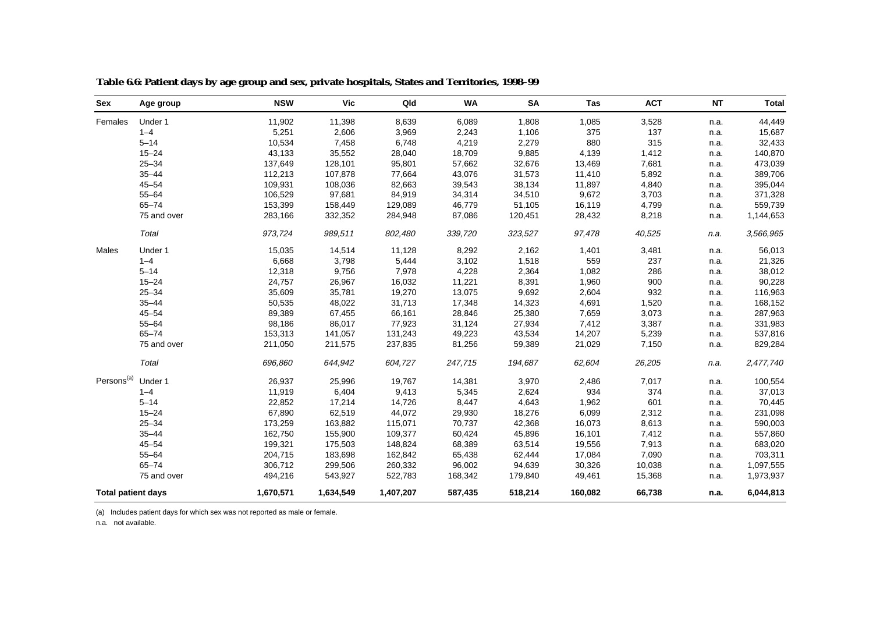| Sex                       | Age group   | <b>NSW</b> | <b>Vic</b> | Qld       | <b>WA</b> | <b>SA</b> | Tas     | <b>ACT</b> | <b>NT</b> | <b>Total</b> |
|---------------------------|-------------|------------|------------|-----------|-----------|-----------|---------|------------|-----------|--------------|
| Females                   | Under 1     | 11,902     | 11,398     | 8,639     | 6,089     | 1,808     | 1,085   | 3,528      | n.a.      | 44,449       |
|                           | $1 - 4$     | 5,251      | 2,606      | 3,969     | 2,243     | 1,106     | 375     | 137        | n.a.      | 15,687       |
|                           | $5 - 14$    | 10,534     | 7,458      | 6,748     | 4,219     | 2,279     | 880     | 315        | n.a.      | 32,433       |
|                           | $15 - 24$   | 43,133     | 35,552     | 28,040    | 18,709    | 9,885     | 4,139   | 1,412      | n.a.      | 140,870      |
|                           | $25 - 34$   | 137,649    | 128,101    | 95,801    | 57,662    | 32,676    | 13,469  | 7,681      | n.a.      | 473,039      |
|                           | $35 - 44$   | 112,213    | 107,878    | 77,664    | 43,076    | 31,573    | 11,410  | 5,892      | n.a.      | 389,706      |
|                           | $45 - 54$   | 109,931    | 108,036    | 82,663    | 39,543    | 38,134    | 11,897  | 4,840      | n.a.      | 395,044      |
|                           | $55 - 64$   | 106,529    | 97,681     | 84,919    | 34,314    | 34,510    | 9,672   | 3,703      | n.a.      | 371,328      |
|                           | $65 - 74$   | 153,399    | 158,449    | 129,089   | 46,779    | 51,105    | 16,119  | 4,799      | n.a.      | 559,739      |
|                           | 75 and over | 283,166    | 332,352    | 284,948   | 87,086    | 120,451   | 28,432  | 8,218      | n.a.      | 1,144,653    |
|                           | Total       | 973,724    | 989,511    | 802,480   | 339,720   | 323,527   | 97,478  | 40,525     | n.a.      | 3,566,965    |
| Males                     | Under 1     | 15,035     | 14,514     | 11,128    | 8,292     | 2,162     | 1,401   | 3,481      | n.a.      | 56,013       |
|                           | $1 - 4$     | 6,668      | 3,798      | 5,444     | 3,102     | 1,518     | 559     | 237        | n.a.      | 21,326       |
|                           | $5 - 14$    | 12,318     | 9,756      | 7,978     | 4,228     | 2,364     | 1,082   | 286        | n.a.      | 38,012       |
|                           | $15 - 24$   | 24,757     | 26,967     | 16,032    | 11,221    | 8,391     | 1,960   | 900        | n.a.      | 90,228       |
|                           | $25 - 34$   | 35,609     | 35,781     | 19,270    | 13,075    | 9,692     | 2,604   | 932        | n.a.      | 116,963      |
|                           | $35 - 44$   | 50,535     | 48,022     | 31,713    | 17,348    | 14,323    | 4,691   | 1,520      | n.a.      | 168,152      |
|                           | $45 - 54$   | 89,389     | 67,455     | 66,161    | 28,846    | 25,380    | 7,659   | 3,073      | n.a.      | 287,963      |
|                           | $55 - 64$   | 98,186     | 86,017     | 77,923    | 31,124    | 27,934    | 7,412   | 3,387      | n.a.      | 331,983      |
|                           | $65 - 74$   | 153,313    | 141,057    | 131,243   | 49,223    | 43,534    | 14,207  | 5,239      | n.a.      | 537,816      |
|                           | 75 and over | 211,050    | 211,575    | 237,835   | 81,256    | 59,389    | 21,029  | 7,150      | n.a.      | 829,284      |
|                           | Total       | 696,860    | 644,942    | 604,727   | 247,715   | 194,687   | 62,604  | 26,205     | n.a.      | 2,477,740    |
| Persons <sup>(a)</sup>    | Under 1     | 26,937     | 25,996     | 19,767    | 14,381    | 3,970     | 2,486   | 7,017      | n.a.      | 100,554      |
|                           | $1 - 4$     | 11,919     | 6,404      | 9,413     | 5,345     | 2,624     | 934     | 374        | n.a.      | 37,013       |
|                           | $5 - 14$    | 22,852     | 17,214     | 14,726    | 8,447     | 4,643     | 1,962   | 601        | n.a.      | 70,445       |
|                           | $15 - 24$   | 67,890     | 62,519     | 44,072    | 29,930    | 18,276    | 6,099   | 2,312      | n.a.      | 231,098      |
|                           | $25 - 34$   | 173,259    | 163,882    | 115,071   | 70,737    | 42,368    | 16,073  | 8,613      | n.a.      | 590,003      |
|                           | $35 - 44$   | 162,750    | 155,900    | 109,377   | 60,424    | 45,896    | 16,101  | 7,412      | n.a.      | 557,860      |
|                           | $45 - 54$   | 199,321    | 175,503    | 148,824   | 68,389    | 63,514    | 19,556  | 7,913      | n.a.      | 683,020      |
|                           | $55 - 64$   | 204,715    | 183,698    | 162,842   | 65,438    | 62,444    | 17,084  | 7,090      | n.a.      | 703,311      |
|                           | $65 - 74$   | 306,712    | 299,506    | 260,332   | 96,002    | 94,639    | 30,326  | 10,038     | n.a.      | 1,097,555    |
|                           | 75 and over | 494,216    | 543,927    | 522,783   | 168,342   | 179,840   | 49,461  | 15,368     | n.a.      | 1,973,937    |
| <b>Total patient days</b> |             | 1,670,571  | 1,634,549  | 1,407,207 | 587,435   | 518,214   | 160,082 | 66,738     | n.a.      | 6,044,813    |

**Table 6.6: Patient days by age group and sex, private hospitals, States and Territories, 1998–99**

(a) Includes patient days for which sex was not reported as male or female.

n.a. not available.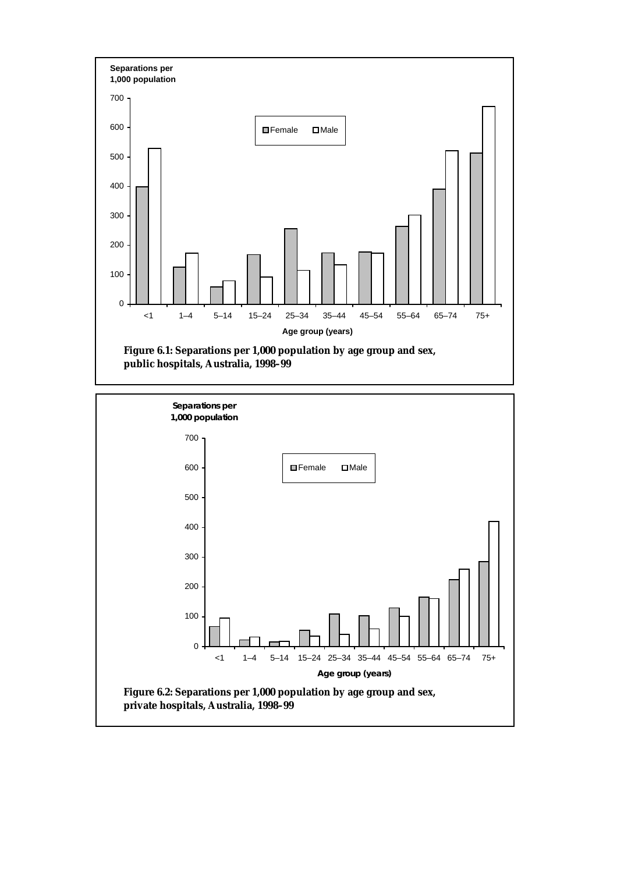

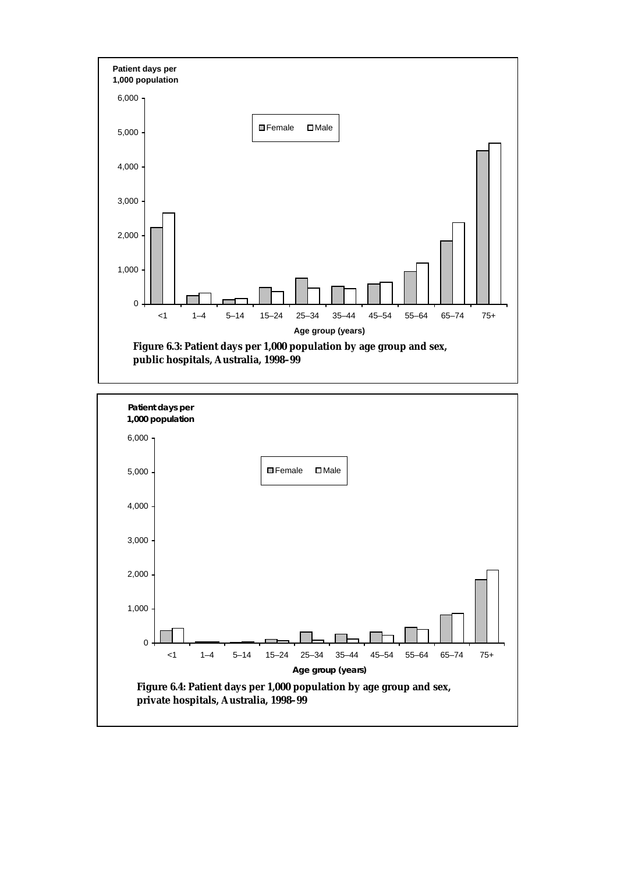

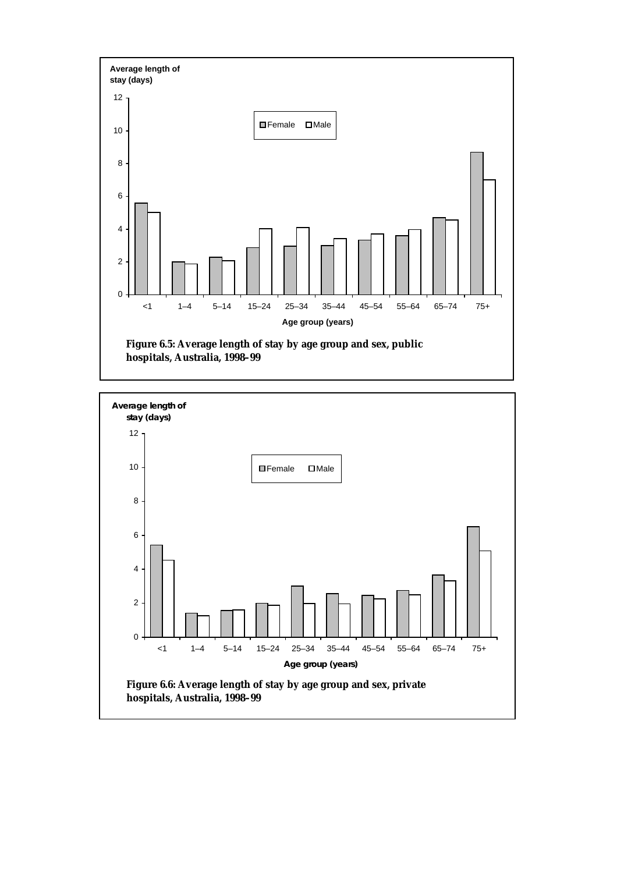

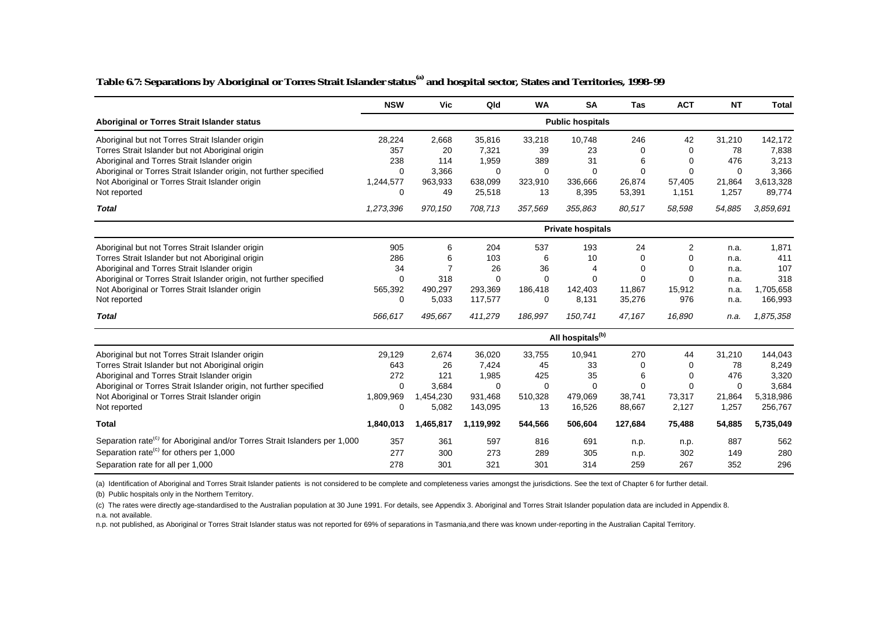#### **Table 6.7: Separations by Aboriginal or Torres Strait Islander status(a) and hospital sector, States and Territories, 1998–99**

|                                                                                        | <b>NSW</b>                   | Vic            | Qld       | <b>WA</b>   | <b>SA</b>                | <b>Tas</b> | <b>ACT</b> | <b>NT</b>   | <b>Total</b> |  |  |
|----------------------------------------------------------------------------------------|------------------------------|----------------|-----------|-------------|--------------------------|------------|------------|-------------|--------------|--|--|
| Aboriginal or Torres Strait Islander status                                            | <b>Public hospitals</b>      |                |           |             |                          |            |            |             |              |  |  |
| Aboriginal but not Torres Strait Islander origin                                       | 28,224                       | 2,668          | 35,816    | 33,218      | 10,748                   | 246        | 42         | 31,210      | 142,172      |  |  |
| Torres Strait Islander but not Aboriginal origin                                       | 357                          | 20             | 7,321     | 39          | 23                       | 0          | $\Omega$   | 78          | 7,838        |  |  |
| Aboriginal and Torres Strait Islander origin                                           | 238                          | 114            | 1,959     | 389         | 31                       | 6          | $\Omega$   | 476         | 3,213        |  |  |
| Aboriginal or Torres Strait Islander origin, not further specified                     | $\Omega$                     | 3,366          | $\Omega$  | $\Omega$    | $\Omega$                 | 0          | $\Omega$   | $\Omega$    | 3,366        |  |  |
| Not Aboriginal or Torres Strait Islander origin                                        | 1,244,577                    | 963,933        | 638,099   | 323,910     | 336,666                  | 26,874     | 57,405     | 21,864      | 3,613,328    |  |  |
| Not reported                                                                           | 0                            | 49             | 25,518    | 13          | 8,395                    | 53,391     | 1,151      | 1,257       | 89,774       |  |  |
| <b>Total</b>                                                                           | 1,273,396                    | 970,150        | 708.713   | 357,569     | 355,863                  | 80,517     | 58,598     | 54,885      | 3,859,691    |  |  |
|                                                                                        |                              |                |           |             | <b>Private hospitals</b> |            |            |             |              |  |  |
| Aboriginal but not Torres Strait Islander origin                                       | 905                          | 6              | 204       | 537         | 193                      | 24         | 2          | n.a.        | 1,871        |  |  |
| Torres Strait Islander but not Aboriginal origin                                       | 286                          | 6              | 103       | 6           | 10                       | $\Omega$   | $\Omega$   | n.a.        | 411          |  |  |
| Aboriginal and Torres Strait Islander origin                                           | 34                           | $\overline{7}$ | 26        | 36          | 4                        | 0          | $\Omega$   | n.a.        | 107          |  |  |
| Aboriginal or Torres Strait Islander origin, not further specified                     | $\Omega$                     | 318            | $\Omega$  | $\mathbf 0$ | 0                        | 0          | $\Omega$   | n.a.        | 318          |  |  |
| Not Aboriginal or Torres Strait Islander origin                                        | 565,392                      | 490,297        | 293.369   | 186,418     | 142,403                  | 11.867     | 15,912     | n.a.        | 1,705,658    |  |  |
| Not reported                                                                           | 0                            | 5,033          | 117,577   | $\mathbf 0$ | 8,131                    | 35,276     | 976        | n.a.        | 166,993      |  |  |
| <b>Total</b>                                                                           | 566,617                      | 495,667        | 411.279   | 186,997     | 150.741                  | 47.167     | 16.890     | n.a.        | 1,875,358    |  |  |
|                                                                                        | All hospitals <sup>(b)</sup> |                |           |             |                          |            |            |             |              |  |  |
| Aboriginal but not Torres Strait Islander origin                                       | 29.129                       | 2,674          | 36.020    | 33,755      | 10,941                   | 270        | 44         | 31,210      | 144,043      |  |  |
| Torres Strait Islander but not Aboriginal origin                                       | 643                          | 26             | 7,424     | 45          | 33                       | 0          | 0          | 78          | 8,249        |  |  |
| Aboriginal and Torres Strait Islander origin                                           | 272                          | 121            | 1,985     | 425         | 35                       | 6          | $\Omega$   | 476         | 3,320        |  |  |
| Aboriginal or Torres Strait Islander origin, not further specified                     | $\Omega$                     | 3,684          | $\Omega$  | $\mathbf 0$ | 0                        | 0          | $\Omega$   | $\mathbf 0$ | 3,684        |  |  |
| Not Aboriginal or Torres Strait Islander origin                                        | 1,809,969                    | 1,454,230      | 931,468   | 510,328     | 479,069                  | 38,741     | 73,317     | 21,864      | 5,318,986    |  |  |
| Not reported                                                                           | 0                            | 5,082          | 143,095   | 13          | 16,526                   | 88,667     | 2,127      | 1,257       | 256,767      |  |  |
| <b>Total</b>                                                                           | 1,840,013                    | 1,465,817      | 1,119,992 | 544,566     | 506,604                  | 127,684    | 75,488     | 54,885      | 5,735,049    |  |  |
| Separation rate <sup>(c)</sup> for Aboriginal and/or Torres Strait Islanders per 1,000 | 357                          | 361            | 597       | 816         | 691                      | n.p.       | n.p.       | 887         | 562          |  |  |
| Separation rate <sup>(c)</sup> for others per 1,000                                    | 277                          | 300            | 273       | 289         | 305                      | n.p.       | 302        | 149         | 280          |  |  |
| Separation rate for all per 1,000                                                      | 278                          | 301            | 321       | 301         | 314                      | 259        | 267        | 352         | 296          |  |  |

(a) Identification of Aboriginal and Torres Strait Islander patients is not considered to be complete and completeness varies amongst the jurisdictions. See the text of Chapter 6 for further detail.

(b) Public hospitals only in the Northern Territory.

(c) The rates were directly age-standardised to the Australian population at 30 June 1991. For details, see Appendix 3. Aboriginal and Torres Strait Islander population data are included in Appendix 8. n.a. not available.

n.p. not published, as Aboriginal or Torres Strait Islander status was not reported for 69% of separations in Tasmania,and there was known under-reporting in the Australian Capital Territory.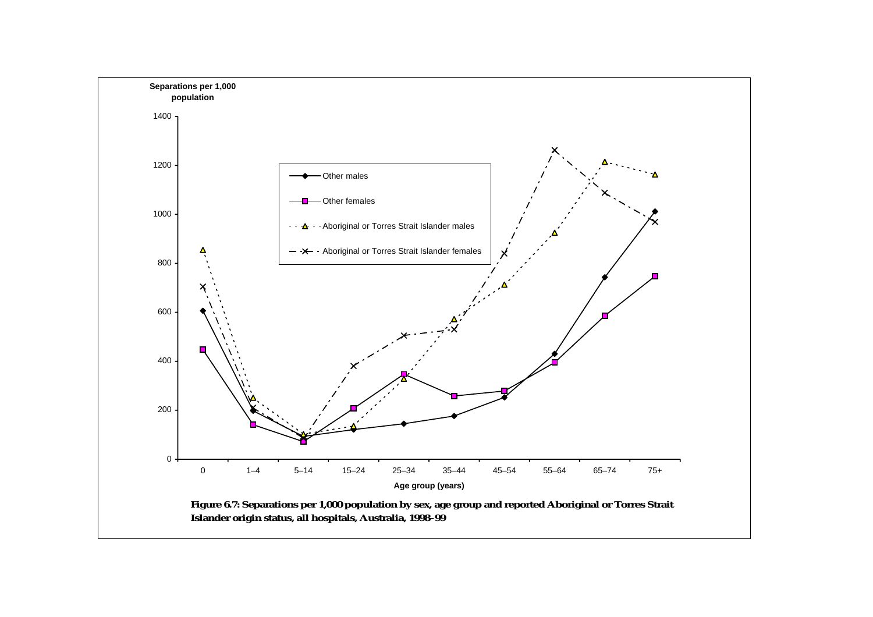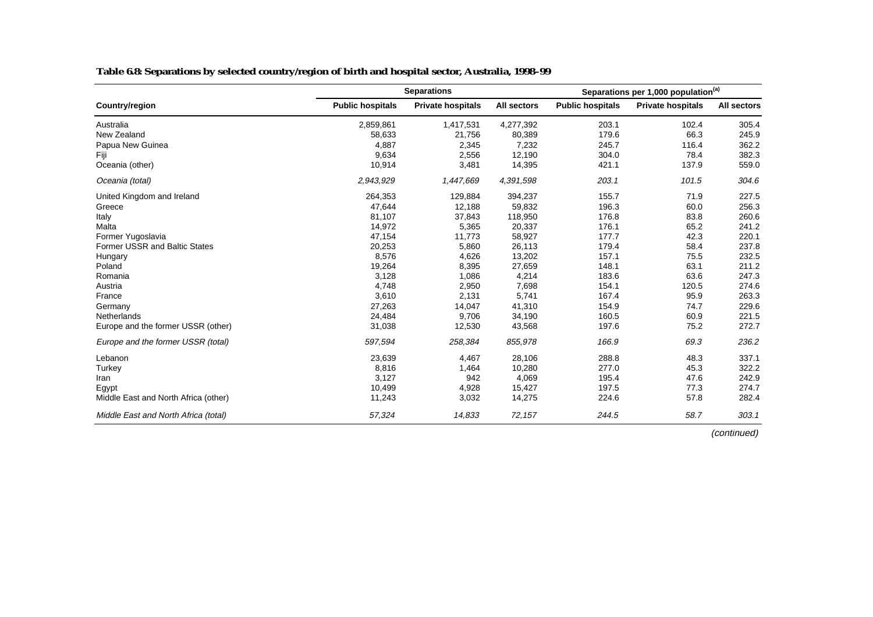|                                      |                         | <b>Separations</b> |             | Separations per 1,000 population <sup>(a)</sup> |                          |             |  |
|--------------------------------------|-------------------------|--------------------|-------------|-------------------------------------------------|--------------------------|-------------|--|
| Country/region                       | <b>Public hospitals</b> | Private hospitals  | All sectors | <b>Public hospitals</b>                         | <b>Private hospitals</b> | All sectors |  |
| Australia                            | 2,859,861               | 1,417,531          | 4,277,392   | 203.1                                           | 102.4                    | 305.4       |  |
| New Zealand                          | 58,633                  | 21,756             | 80,389      | 179.6                                           | 66.3                     | 245.9       |  |
| Papua New Guinea                     | 4,887                   | 2,345              | 7,232       | 245.7                                           | 116.4                    | 362.2       |  |
| Fiji                                 | 9,634                   | 2,556              | 12,190      | 304.0                                           | 78.4                     | 382.3       |  |
| Oceania (other)                      | 10,914                  | 3,481              | 14,395      | 421.1                                           | 137.9                    | 559.0       |  |
| Oceania (total)                      | 2,943,929               | 1,447,669          | 4,391,598   | 203.1                                           | 101.5                    | 304.6       |  |
| United Kingdom and Ireland           | 264,353                 | 129,884            | 394,237     | 155.7                                           | 71.9                     | 227.5       |  |
| Greece                               | 47,644                  | 12,188             | 59,832      | 196.3                                           | 60.0                     | 256.3       |  |
| Italy                                | 81,107                  | 37,843             | 118,950     | 176.8                                           | 83.8                     | 260.6       |  |
| Malta                                | 14,972                  | 5,365              | 20,337      | 176.1                                           | 65.2                     | 241.2       |  |
| Former Yugoslavia                    | 47,154                  | 11,773             | 58,927      | 177.7                                           | 42.3                     | 220.1       |  |
| <b>Former USSR and Baltic States</b> | 20,253                  | 5,860              | 26,113      | 179.4                                           | 58.4                     | 237.8       |  |
| Hungary                              | 8,576                   | 4,626              | 13,202      | 157.1                                           | 75.5                     | 232.5       |  |
| Poland                               | 19,264                  | 8,395              | 27,659      | 148.1                                           | 63.1                     | 211.2       |  |
| Romania                              | 3,128                   | 1,086              | 4,214       | 183.6                                           | 63.6                     | 247.3       |  |
| Austria                              | 4,748                   | 2,950              | 7,698       | 154.1                                           | 120.5                    | 274.6       |  |
| France                               | 3,610                   | 2,131              | 5,741       | 167.4                                           | 95.9                     | 263.3       |  |
| Germany                              | 27,263                  | 14,047             | 41,310      | 154.9                                           | 74.7                     | 229.6       |  |
| Netherlands                          | 24,484                  | 9,706              | 34,190      | 160.5                                           | 60.9                     | 221.5       |  |
| Europe and the former USSR (other)   | 31,038                  | 12,530             | 43,568      | 197.6                                           | 75.2                     | 272.7       |  |
| Europe and the former USSR (total)   | 597,594                 | 258,384            | 855,978     | 166.9                                           | 69.3                     | 236.2       |  |
| Lebanon                              | 23,639                  | 4,467              | 28,106      | 288.8                                           | 48.3                     | 337.1       |  |
| Turkey                               | 8,816                   | 1,464              | 10,280      | 277.0                                           | 45.3                     | 322.2       |  |
| Iran                                 | 3,127                   | 942                | 4,069       | 195.4                                           | 47.6                     | 242.9       |  |
| Egypt                                | 10,499                  | 4,928              | 15,427      | 197.5                                           | 77.3                     | 274.7       |  |
| Middle East and North Africa (other) | 11,243                  | 3,032              | 14,275      | 224.6                                           | 57.8                     | 282.4       |  |
| Middle East and North Africa (total) | 57,324                  | 14,833             | 72,157      | 244.5                                           | 58.7                     | 303.1       |  |

#### **Table 6.8: Separations by selected country/region of birth and hospital sector, Australia, 1998–99**

(continued)